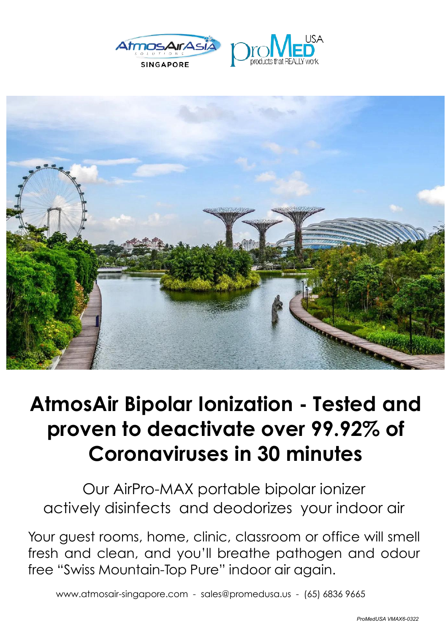





## **AtmosAir Bipolar Ionization - Tested and proven to deactivate over 99.92% of Coronaviruses in 30 minutes**

 $\overline{\phantom{0}}$ Our AirPro-MAX portable bipolar ionizer actively disinfects and deodorizes your indoor air

 $\check{\phantom{a}}$ Your guest rooms, home, clinic, classroom or office will smell fresh and clean, and you'll breathe pathogen and odour free "Swiss Mountain-Top Pure" indoor air again.

www.atmosair-singapore.com - sales@promedusa.us - (65) <sup>6836</sup> <sup>9665</sup>